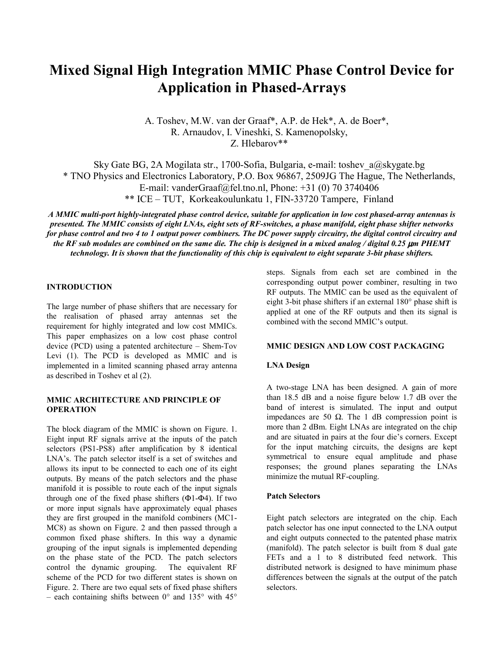# **Mixed Signal High Integration MMIC Phase Control Device for Application in Phased-Arrays**

A. Toshev, M.W. van der Graaf\*, A.P. de Hek\*, A. de Boer\*, R. Arnaudov, I. Vineshki, S. Kamenopolsky, Z. Hlebarov\*\*

Sky Gate BG, 2A Mogilata str., 1700-Sofia, Bulgaria, e-mail: toshev\_a@skygate.bg \* TNO Physics and Electronics Laboratory, P.O. Box 96867, 2509JG The Hague, The Netherlands, E-mail: vanderGraaf@fel.tno.nl, Phone: +31 (0) 70 3740406 \*\* ICE – TUT, Korkeakoulunkatu 1, FIN-33720 Tampere, Finland

*A MMIC multi-port highly-integrated phase control device, suitable for application in low cost phased-array antennas is presented. The MMIC consists of eight LNAs, eight sets of RF-switches, a phase manifold, eight phase shifter networks for phase control and two 4 to 1 output power combiners. The DC power supply circuitry, the digital control circuitry and the RF sub modules are combined on the same die. The chip is designed in a mixed analog / digital 0.25 µm PHEMT technology. It is shown that the functionality of this chip is equivalent to eight separate 3-bit phase shifters.* 

#### **INTRODUCTION**

The large number of phase shifters that are necessary for the realisation of phased array antennas set the requirement for highly integrated and low cost MMICs. This paper emphasizes on a low cost phase control device (PCD) using a patented architecture – Shem-Tov Levi (1). The PCD is developed as MMIC and is implemented in a limited scanning phased array antenna as described in Toshev et al (2).

# **MMIC ARCHITECTURE AND PRINCIPLE OF OPERATION**

The block diagram of the MMIC is shown on Figure. 1. Eight input RF signals arrive at the inputs of the patch selectors (PS1-PS8) after amplification by 8 identical LNA's. The patch selector itself is a set of switches and allows its input to be connected to each one of its eight outputs. By means of the patch selectors and the phase manifold it is possible to route each of the input signals through one of the fixed phase shifters  $(\Phi1-\Phi4)$ . If two or more input signals have approximately equal phases they are first grouped in the manifold combiners (MC1- MC8) as shown on Figure. 2 and then passed through a common fixed phase shifters. In this way a dynamic grouping of the input signals is implemented depending on the phase state of the PCD. The patch selectors control the dynamic grouping. The equivalent RF scheme of the PCD for two different states is shown on Figure. 2. There are two equal sets of fixed phase shifters – each containing shifts between  $0^{\circ}$  and  $135^{\circ}$  with  $45^{\circ}$  steps. Signals from each set are combined in the corresponding output power combiner, resulting in two RF outputs. The MMIC can be used as the equivalent of eight 3-bit phase shifters if an external 180° phase shift is applied at one of the RF outputs and then its signal is combined with the second MMIC's output.

# **MMIC DESIGN AND LOW COST PACKAGING**

#### **LNA Design**

A two-stage LNA has been designed. A gain of more than 18.5 dB and a noise figure below 1.7 dB over the band of interest is simulated. The input and output impedances are 50 Ω. The 1 dB compression point is more than 2 dBm. Eight LNAs are integrated on the chip and are situated in pairs at the four die's corners. Except for the input matching circuits, the designs are kept symmetrical to ensure equal amplitude and phase responses; the ground planes separating the LNAs minimize the mutual RF-coupling.

#### **Patch Selectors**

Eight patch selectors are integrated on the chip. Each patch selector has one input connected to the LNA output and eight outputs connected to the patented phase matrix (manifold). The patch selector is built from 8 dual gate FETs and a 1 to 8 distributed feed network. This distributed network is designed to have minimum phase differences between the signals at the output of the patch selectors.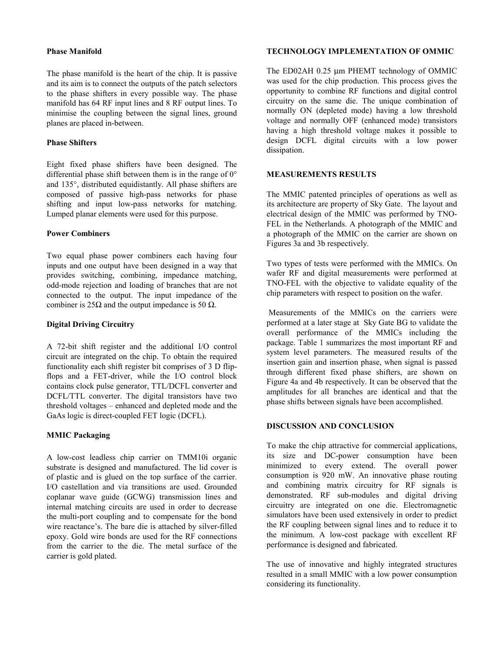#### **Phase Manifold**

The phase manifold is the heart of the chip. It is passive and its aim is to connect the outputs of the patch selectors to the phase shifters in every possible way. The phase manifold has 64 RF input lines and 8 RF output lines. To minimise the coupling between the signal lines, ground planes are placed in-between.

# **Phase Shifters**

Eight fixed phase shifters have been designed. The differential phase shift between them is in the range of  $0^{\circ}$ and 135°, distributed equidistantly. All phase shifters are composed of passive high-pass networks for phase shifting and input low-pass networks for matching. Lumped planar elements were used for this purpose.

## **Power Combiners**

Two equal phase power combiners each having four inputs and one output have been designed in a way that provides switching, combining, impedance matching, odd-mode rejection and loading of branches that are not connected to the output. The input impedance of the combiner is  $25\Omega$  and the output impedance is 50  $\Omega$ .

# **Digital Driving Circuitry**

A 72-bit shift register and the additional I/O control circuit are integrated on the chip. To obtain the required functionality each shift register bit comprises of 3 D flipflops and a FET-driver, while the I/O control block contains clock pulse generator, TTL/DCFL converter and DCFL/TTL converter. The digital transistors have two threshold voltages – enhanced and depleted mode and the GaAs logic is direct-coupled FET logic (DCFL).

# **MMIC Packaging**

A low-cost leadless chip carrier on TMM10i organic substrate is designed and manufactured. The lid cover is of plastic and is glued on the top surface of the carrier. I/O castellation and via transitions are used. Grounded coplanar wave guide (GCWG) transmission lines and internal matching circuits are used in order to decrease the multi-port coupling and to compensate for the bond wire reactance's. The bare die is attached by silver-filled epoxy. Gold wire bonds are used for the RF connections from the carrier to the die. The metal surface of the carrier is gold plated.

# **TECHNOLOGY IMPLEMENTATION OF OMMIC**

The ED02AH 0.25 µm PHEMT technology of OMMIC was used for the chip production. This process gives the opportunity to combine RF functions and digital control circuitry on the same die. The unique combination of normally ON (depleted mode) having a low threshold voltage and normally OFF (enhanced mode) transistors having a high threshold voltage makes it possible to design DCFL digital circuits with a low power dissipation.

# **MEASUREMENTS RESULTS**

The MMIC patented principles of operations as well as its architecture are property of Sky Gate. The layout and electrical design of the MMIC was performed by TNO-FEL in the Netherlands. A photograph of the MMIC and a photograph of the MMIC on the carrier are shown on Figures 3a and 3b respectively.

Two types of tests were performed with the MMICs. On wafer RF and digital measurements were performed at TNO-FEL with the objective to validate equality of the chip parameters with respect to position on the wafer.

 Measurements of the MMICs on the carriers were performed at a later stage at Sky Gate BG to validate the overall performance of the MMICs including the package. Table 1 summarizes the most important RF and system level parameters. The measured results of the insertion gain and insertion phase, when signal is passed through different fixed phase shifters, are shown on Figure 4a and 4b respectively. It can be observed that the amplitudes for all branches are identical and that the phase shifts between signals have been accomplished.

#### **DISCUSSION AND CONCLUSION**

To make the chip attractive for commercial applications. its size and DC-power consumption have been minimized to every extend. The overall power consumption is 920 mW. An innovative phase routing and combining matrix circuitry for RF signals is demonstrated. RF sub-modules and digital driving circuitry are integrated on one die. Electromagnetic simulators have been used extensively in order to predict the RF coupling between signal lines and to reduce it to the minimum. A low-cost package with excellent RF performance is designed and fabricated.

The use of innovative and highly integrated structures resulted in a small MMIC with a low power consumption considering its functionality.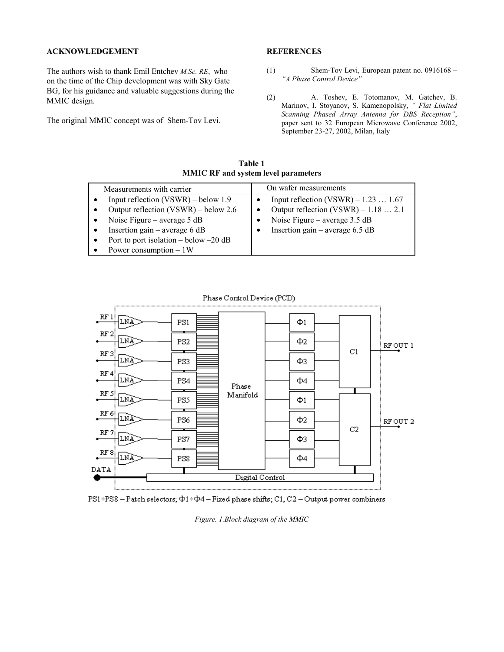## **ACKNOWLEDGEMENT**

The authors wish to thank Emil Entchev *M.Sc. RE*, who on the time of the Chip development was with Sky Gate BG, for his guidance and valuable suggestions during the MMIC design.

The original MMIC concept was of Shem-Tov Levi.

#### **REFERENCES**

- (1) Shem-Tov Levi, European patent no. 0916168 *– "A Phase Control Device"*
- (2) A. Toshev, E. Totomanov, M. Gatchev, B. Marinov, I. Stoyanov, S. Kamenopolsky, *" Flat Limited Scanning Phased Array Antenna for DBS Reception"*, paper sent to 32 European Microwave Conference 2002, September 23-27, 2002, Milan, Italy

**Table 1 MMIC RF and system level parameters** 

| Measurements with carrier                                                                                                                                                                                                | On wafer measurements                                                                                                                                 |
|--------------------------------------------------------------------------------------------------------------------------------------------------------------------------------------------------------------------------|-------------------------------------------------------------------------------------------------------------------------------------------------------|
| Input reflection $(VSWR)$ – below 1.9<br>Output reflection $(VSWR)$ – below 2.6<br>Noise Figure – average $5 dB$<br>Insertion gain – average 6 $dB$<br>Port to port isolation – below – 20 dB<br>Power consumption $-1W$ | Input reflection (VSWR) $-1.23$ 1.67<br>Output reflection $(VSWR) - 1.18$ 2.1<br>Noise Figure – average $3.5$ dB<br>Insertion gain – average $6.5$ dB |

Phase Control Device (PCD)





*Figure. 1.Block diagram of the MMIC*